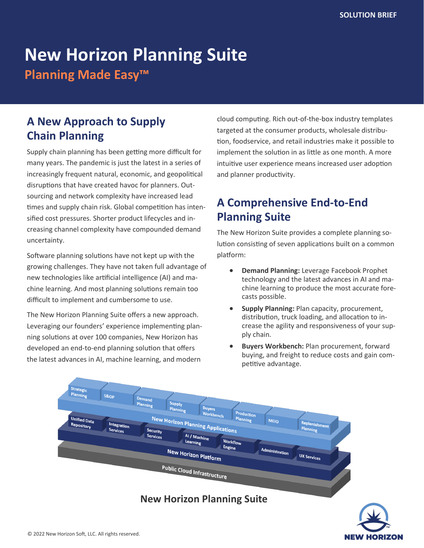# **New Horizon Planning Suite**

**Planning Made Easy™**

# **A New Approach to Supply Chain Planning**

Supply chain planning has been getting more difficult for many years. The pandemic is just the latest in a series of increasingly frequent natural, economic, and geopolitical disruptions that have created havoc for planners. Outsourcing and network complexity have increased lead times and supply chain risk. Global competition has intensified cost pressures. Shorter product lifecycles and increasing channel complexity have compounded demand uncertainty.

Software planning solutions have not kept up with the growing challenges. They have not taken full advantage of new technologies like artificial intelligence (AI) and machine learning. And most planning solutions remain too difficult to implement and cumbersome to use.

The New Horizon Planning Suite offers a new approach. Leveraging our founders' experience implementing planning solutions at over 100 companies, New Horizon has developed an end-to-end planning solution that offers the latest advances in AI, machine learning, and modern

cloud computing. Rich out-of-the-box industry templates targeted at the consumer products, wholesale distribution, foodservice, and retail industries make it possible to implement the solution in as little as one month. A more intuitive user experience means increased user adoption and planner productivity.

# **A Comprehensive End-to-End Planning Suite**

The New Horizon Suite provides a complete planning solution consisting of seven applications built on a common platform:

- **Demand Planning:** Leverage Facebook Prophet technology and the latest advances in AI and machine learning to produce the most accurate forecasts possible.
- **Supply Planning:** Plan capacity, procurement, distribution, truck loading, and allocation to increase the agility and responsiveness of your supply chain.
- **Buyers Workbench:** Plan procurement, forward buying, and freight to reduce costs and gain competitive advantage.



### **New Horizon Planning Suite**

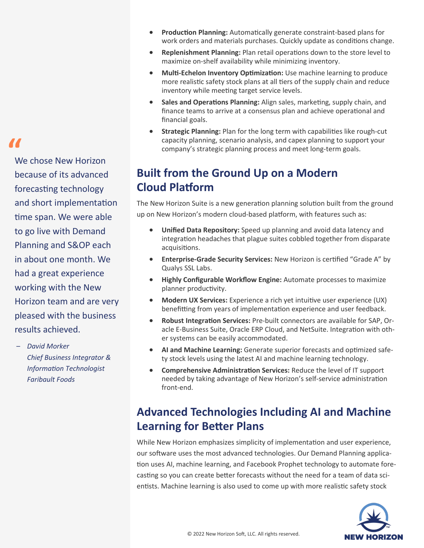**"**

We chose New Horizon because of its advanced forecasting technology and short implementation time span. We were able to go live with Demand Planning and S&OP each in about one month. We had a great experience working with the New Horizon team and are very pleased with the business results achieved.

– *David Morker Chief Business Integrator & Information Technologist Faribault Foods*

- **Production Planning:** Automatically generate constraint-based plans for work orders and materials purchases. Quickly update as conditions change.
- **Replenishment Planning:** Plan retail operations down to the store level to maximize on-shelf availability while minimizing inventory.
- **Multi-Echelon Inventory Optimization:** Use machine learning to produce more realistic safety stock plans at all tiers of the supply chain and reduce inventory while meeting target service levels.
- **Sales and Operations Planning:** Align sales, marketing, supply chain, and finance teams to arrive at a consensus plan and achieve operational and financial goals.
- **Strategic Planning:** Plan for the long term with capabilities like rough-cut capacity planning, scenario analysis, and capex planning to support your company's strategic planning process and meet long-term goals.

### **Built from the Ground Up on a Modern Cloud Platform**

The New Horizon Suite is a new generation planning solution built from the ground up on New Horizon's modern cloud-based platform, with features such as:

- **Unified Data Repository:** Speed up planning and avoid data latency and integration headaches that plague suites cobbled together from disparate acquisitions.
- **Enterprise-Grade Security Services:** New Horizon is certified "Grade A" by Qualys SSL Labs.
- **Highly Configurable Workflow Engine:** Automate processes to maximize planner productivity.
- **Modern UX Services:** Experience a rich yet intuitive user experience (UX) benefitting from years of implementation experience and user feedback.
- **Robust Integration Services:** Pre-built connectors are available for SAP, Oracle E-Business Suite, Oracle ERP Cloud, and NetSuite. Integration with other systems can be easily accommodated.
- **AI and Machine Learning:** Generate superior forecasts and optimized safety stock levels using the latest AI and machine learning technology.
- **Comprehensive Administration Services:** Reduce the level of IT support needed by taking advantage of New Horizon's self-service administration front-end.

# **Advanced Technologies Including AI and Machine Learning for Better Plans**

While New Horizon emphasizes simplicity of implementation and user experience, our software uses the most advanced technologies. Our Demand Planning application uses AI, machine learning, and Facebook Prophet technology to automate forecasting so you can create better forecasts without the need for a team of data scientists. Machine learning is also used to come up with more realistic safety stock